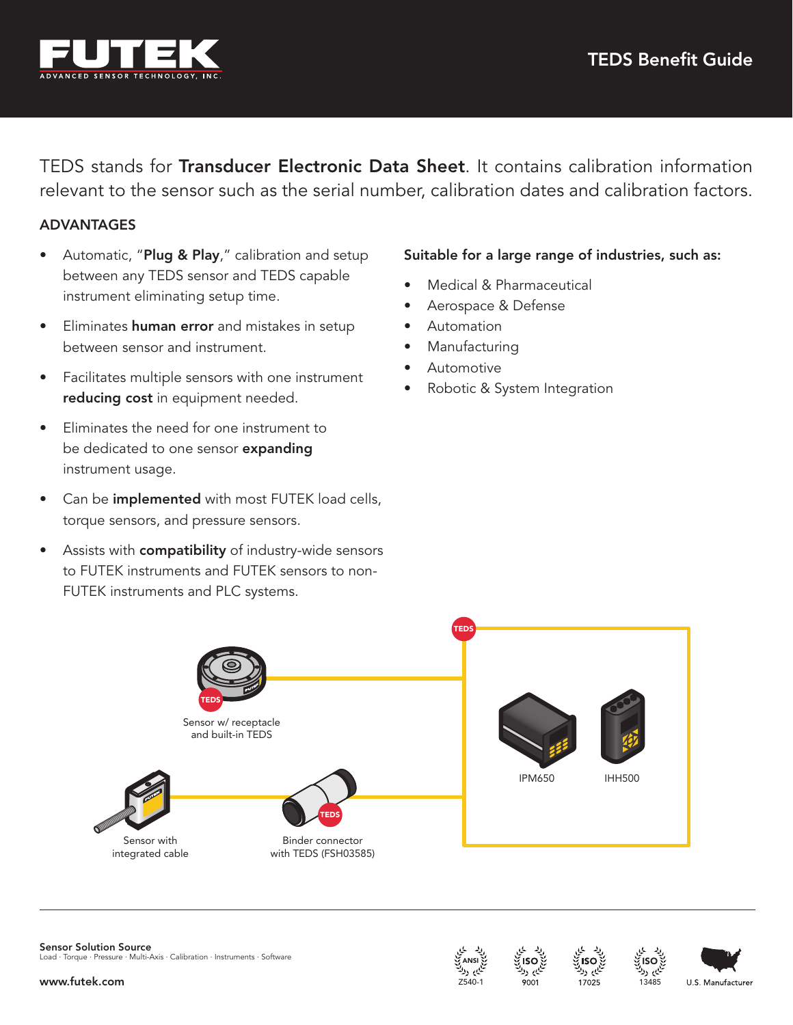

TEDS stands for Transducer Electronic Data Sheet. It contains calibration information relevant to the sensor such as the serial number, calibration dates and calibration factors.

## ADVANTAGES

- Automatic, "Plug & Play," calibration and setup between any TEDS sensor and TEDS capable instrument eliminating setup time.
- **•** Eliminates **human error** and mistakes in setup between sensor and instrument.
- Facilitates multiple sensors with one instrument reducing cost in equipment needed.
- Eliminates the need for one instrument to be dedicated to one sensor expanding instrument usage.
- Can be *implemented* with most FUTEK load cells, torque sensors, and pressure sensors.
- Assists with **compatibility** of industry-wide sensors to FUTEK instruments and FUTEK sensors to non-FUTEK instruments and PLC systems.

## Suitable for a large range of industries, such as:

- Medical & Pharmaceutical
- Aerospace & Defense
- Automation
- **Manufacturing**
- **Automotive**
- Robotic & System Integration









ISO 13485